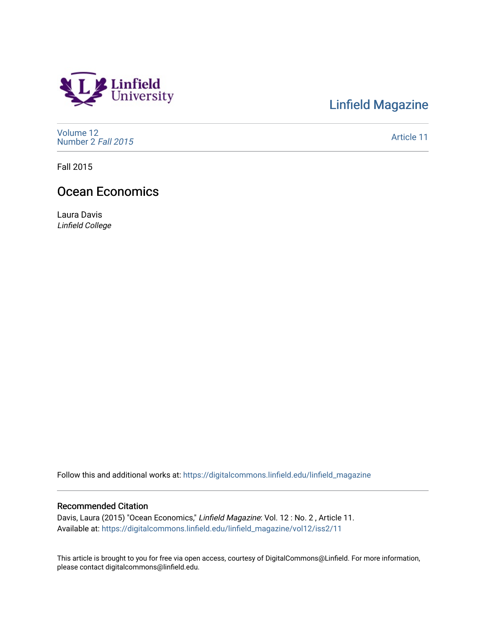

## [Linfield Magazine](https://digitalcommons.linfield.edu/linfield_magazine)

[Volume 12](https://digitalcommons.linfield.edu/linfield_magazine/vol12) [Number 2](https://digitalcommons.linfield.edu/linfield_magazine/vol12/iss2) Fall 2015

[Article 11](https://digitalcommons.linfield.edu/linfield_magazine/vol12/iss2/11) 

Fall 2015

## Ocean Economics

Laura Davis Linfield College

Follow this and additional works at: [https://digitalcommons.linfield.edu/linfield\\_magazine](https://digitalcommons.linfield.edu/linfield_magazine?utm_source=digitalcommons.linfield.edu%2Flinfield_magazine%2Fvol12%2Fiss2%2F11&utm_medium=PDF&utm_campaign=PDFCoverPages) 

## Recommended Citation

Davis, Laura (2015) "Ocean Economics," Linfield Magazine: Vol. 12 : No. 2, Article 11. Available at: [https://digitalcommons.linfield.edu/linfield\\_magazine/vol12/iss2/11](https://digitalcommons.linfield.edu/linfield_magazine/vol12/iss2/11?utm_source=digitalcommons.linfield.edu%2Flinfield_magazine%2Fvol12%2Fiss2%2F11&utm_medium=PDF&utm_campaign=PDFCoverPages)

This article is brought to you for free via open access, courtesy of DigitalCommons@Linfield. For more information, please contact digitalcommons@linfield.edu.